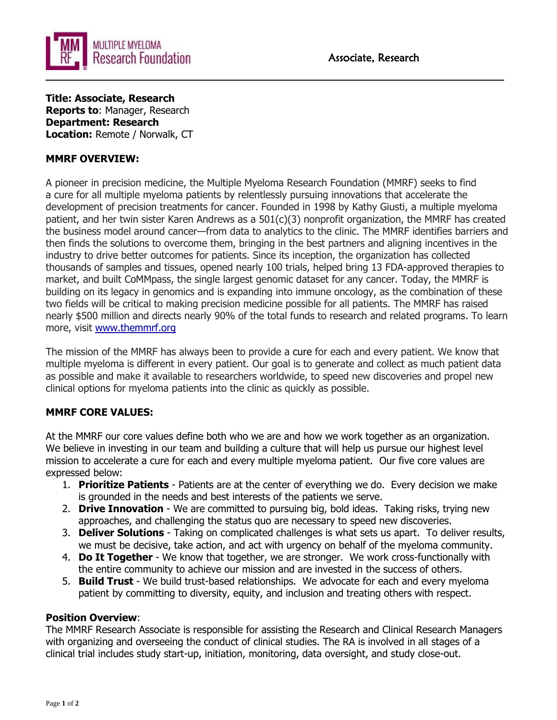



**Title: Associate, Research Reports to**: Manager, Research **Department: Research Location:** Remote / Norwalk, CT

# **MMRF OVERVIEW:**

A pioneer in precision medicine, the Multiple Myeloma Research Foundation (MMRF) seeks to find a cure for all multiple myeloma patients by relentlessly pursuing innovations that accelerate the development of precision treatments for cancer. Founded in 1998 by Kathy Giusti, a multiple myeloma patient, and her twin sister Karen Andrews as a 501(c)(3) nonprofit organization, the MMRF has created the business model around cancer—from data to analytics to the clinic. The MMRF identifies barriers and then finds the solutions to overcome them, bringing in the best partners and aligning incentives in the industry to drive better outcomes for patients. Since its inception, the organization has collected thousands of samples and tissues, opened nearly 100 trials, helped bring 13 FDA-approved therapies to market, and built CoMMpass, the single largest genomic dataset for any cancer. Today, the MMRF is building on its legacy in genomics and is expanding into immune oncology, as the combination of these two fields will be critical to making precision medicine possible for all patients. The MMRF has raised nearly \$500 million and directs nearly 90% of the total funds to research and related programs. To learn more, visit [www.themmrf.org](http://www.themmrf.org/)

The mission of the MMRF has always been to provide a cure for each and every patient. We know that multiple myeloma is different in every patient. Our goal is to generate and collect as much patient data as possible and make it available to researchers worldwide, to speed new discoveries and propel new clinical options for myeloma patients into the clinic as quickly as possible.

## **MMRF CORE VALUES:**

At the MMRF our core values define both who we are and how we work together as an organization. We believe in investing in our team and building a culture that will help us pursue our highest level mission to accelerate a cure for each and every multiple myeloma patient. Our five core values are expressed below:

- 1. **Prioritize Patients**  Patients are at the center of everything we do. Every decision we make is grounded in the needs and best interests of the patients we serve.
- 2. **Drive Innovation**  We are committed to pursuing big, bold ideas. Taking risks, trying new approaches, and challenging the status quo are necessary to speed new discoveries.
- 3. **Deliver Solutions**  Taking on complicated challenges is what sets us apart. To deliver results, we must be decisive, take action, and act with urgency on behalf of the myeloma community.
- 4. **Do It Together**  We know that together, we are stronger. We work cross-functionally with the entire community to achieve our mission and are invested in the success of others.
- 5. **Build Trust**  We build trust-based relationships. We advocate for each and every myeloma patient by committing to diversity, equity, and inclusion and treating others with respect.

## **Position Overview**:

The MMRF Research Associate is responsible for assisting the Research and Clinical Research Managers with organizing and overseeing the conduct of clinical studies. The RA is involved in all stages of a clinical trial includes study start-up, initiation, monitoring, data oversight, and study close-out.